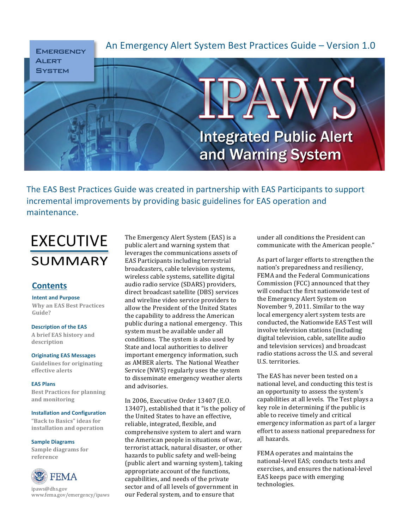

The EAS Best Practices Guide was created in partnership with EAS Participants to support incremental improvements by providing basic guidelines for EAS operation and maintenance.

# EXECUTIVE SUMMARY

# **Contents**

**Intent and Purpose Why)an)EAS)Best)Practices) Guide?**

# **Description of the EAS**

**A)brief)EAS)history)and) description**

# **Originating EAS Messages**

**Guidelines for originating effective)alerts**

# **EAS Plans**

**Best Practices for planning and)monitoring**

#### **Installation and Configuration**

"Back to Basics" ideas for **installation)and)operation**

#### **Sample Diagrams**

Sample diagrams for **reference**



ipaws@dhs.gov www.fema.gov/emergency/ipaws The Emergency Alert System (EAS) is a public alert and warning system that leverages the communications assets of EAS Participants including terrestrial broadcasters, cable television systems, wireless cable systems, satellite digital audio radio service (SDARS) providers, direct broadcast satellite (DBS) services and wireline video service providers to allow the President of the United States the capability to address the American public during a national emergency. This system must be available under all conditions. The system is also used by State and local authorities to deliver important emergency information, such as AMBER alerts. The National Weather Service (NWS) regularly uses the system to disseminate emergency weather alerts and advisories.

In 2006, Executive Order 13407 (E.O. 13407), established that it "is the policy of the United States to have an effective, reliable, integrated, flexible, and comprehensive system to alert and warn the American people in situations of war, terrorist attack, natural disaster, or other hazards to public safety and well-being (public alert and warning system), taking appropriate account of the functions, capabilities, and needs of the private sector and of all levels of government in our Federal system, and to ensure that

under all conditions the President can communicate with the American people."

As part of larger efforts to strengthen the nation's preparedness and resiliency, FEMA and the Federal Communications Commission (FCC) announced that they will conduct the first nationwide test of the Emergency Alert System on November 9, 2011. Similar to the way local emergency alert system tests are conducted, the Nationwide EAS Test will involve television stations (including digital television, cable, satellite audio and television services) and broadcast radio stations across the U.S. and several U.S. territories.

The EAS has never been tested on a national level, and conducting this test is an opportunity to assess the system's capabilities at all levels. The Test plays a key role in determining if the public is able to receive timely and critical emergency information as part of a larger effort to assess national preparedness for all hazards.

FEMA operates and maintains the national-level EAS; conducts tests and exercises, and ensures the national-level EAS keeps pace with emerging technologies.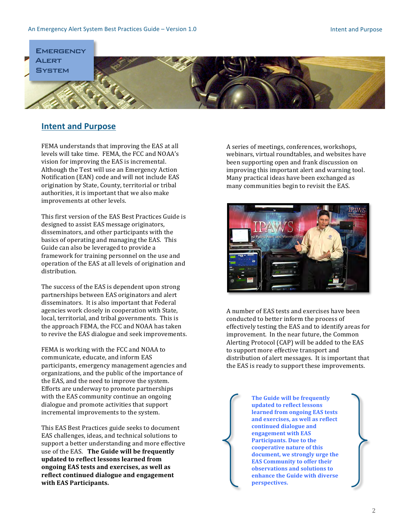

# **Intent and Purpose**

FEMA understands that improving the EAS at all levels will take time. FEMA, the FCC and NOAA's vision for improving the EAS is incremental. Although the Test will use an Emergency Action Notification (EAN) code and will not include EAS origination by State, County, territorial or tribal authorities, it is important that we also make improvements at other levels.

This first version of the EAS Best Practices Guide is designed to assist EAS message originators, disseminators, and other participants with the basics of operating and managing the EAS. This Guide can also be leveraged to provide a framework for training personnel on the use and operation of the EAS at all levels of origination and distribution.

The success of the EAS is dependent upon strong partnerships between EAS originators and alert disseminators. It is also important that Federal agencies work closely in cooperation with State, local, territorial, and tribal governments. This is the approach FEMA, the FCC and NOAA has taken to revive the EAS dialogue and seek improvements.

FEMA is working with the FCC and NOAA to communicate, educate, and inform EAS participants, emergency management agencies and organizations, and the public of the importance of the EAS, and the need to improve the system. Efforts are underway to promote partnerships with the EAS community continue an ongoing dialogue and promote activities that support incremental improvements to the system.

This EAS Best Practices guide seeks to document EAS challenges, ideas, and technical solutions to support a better understanding and more effective use of the EAS. The Guide will be frequently updated to reflect lessons learned from **ongoing)EAS)tests)and)exercises,)as)well)as)** reflect continued dialogue and engagement **with)EAS)Participants.**

A series of meetings, conferences, workshops, webinars, virtual roundtables, and websites have been supporting open and frank discussion on improving this important alert and warning tool. Many practical ideas have been exchanged as many communities begin to revisit the EAS.



A number of EAS tests and exercises have been conducted to better inform the process of effectively testing the EAS and to identify areas for improvement. In the near future, the Common Alerting Protocol (CAP) will be added to the EAS to support more effective transport and distribution of alert messages. It is important that the EAS is ready to support these improvements.

> **The Guide will be frequently updated to reflect lessons** learned from ongoing EAS tests and exercises, as well as reflect continued dialogue and **engagement** with EAS **Participants.** Due to the **cooperative nature of this** document, we strongly urge the **EAS Community to offer their observations)and)solutions)to) enhance the Guide with diverse perspectives.)**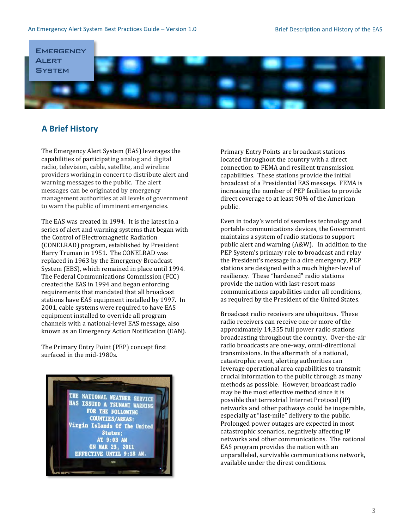

# **A Brief History**

The Emergency Alert System (EAS) leverages the capabilities of participating analog and digital radio, television, cable, satellite, and wireline providers working in concert to distribute alert and warning messages to the public. The alert messages can be originated by emergency management authorities at all levels of government to warn the public of imminent emergencies.

The EAS was created in 1994. It is the latest in a series of alert and warning systems that began with the Control of Electromagnetic Radiation (CONELRAD) program, established by President Harry Truman in 1951. The CONELRAD was replaced in 1963 by the Emergency Broadcast System (EBS), which remained in place until 1994. The Federal Communications Commission (FCC) created the EAS in 1994 and began enforcing requirements that mandated that all broadcast stations have EAS equipment installed by 1997. In 2001, cable systems were required to have EAS equipment installed to override all program channels with a national-level EAS message, also known as an Emergency Action Notification (EAN).

The Primary Entry Point (PEP) concept first surfaced in the mid-1980s.



Primary Entry Points are broadcast stations located throughout the country with a direct connection to FEMA and resilient transmission capabilities. These stations provide the initial broadcast of a Presidential EAS message. FEMA is increasing the number of PEP facilities to provide direct coverage to at least 90% of the American public.

Even in today's world of seamless technology and portable communications devices, the Government maintains a system of radio stations to support public alert and warning (A&W). In addition to the PEP System's primary role to broadcast and relay the President's message in a dire emergency, PEP stations are designed with a much higher-level of resiliency. These "hardened" radio stations provide the nation with last-resort mass communications capabilities under all conditions, as required by the President of the United States.

Broadcast radio receivers are ubiquitous. These radio receivers can receive one or more of the approximately  $14,355$  full power radio stations broadcasting throughout the country. Over-the-air radio broadcasts are one-way, omni-directional transmissions. In the aftermath of a national, catastrophic event, alerting authorities can leverage operational area capabilities to transmit crucial information to the public through as many methods as possible. However, broadcast radio may be the most effective method since it is possible that terrestrial Internet Protocol  $(IP)$ networks and other pathways could be inoperable, especially at "last-mile" delivery to the public. Prolonged power outages are expected in most catastrophic scenarios, negatively affecting IP networks and other communications. The national EAS program provides the nation with an unparalleled, survivable communications network, available under the direst conditions.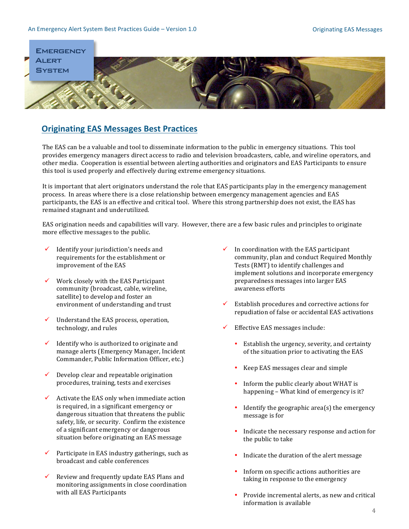

# **Originating EAS Messages Best Practices**

The EAS can be a valuable and tool to disseminate information to the public in emergency situations. This tool provides emergency managers direct access to radio and television broadcasters, cable, and wireline operators, and other media. Cooperation is essential between alerting authorities and originators and EAS Participants to ensure this tool is used properly and effectively during extreme emergency situations.

It is important that alert originators understand the role that EAS participants play in the emergency management process. In areas where there is a close relationship between emergency management agencies and EAS participants, the EAS is an effective and critical tool. Where this strong partnership does not exist, the EAS has remained stagnant and underutilized.

EAS origination needs and capabilities will vary. However, there are a few basic rules and principles to originate more effective messages to the public.

- $\checkmark$  Identify your jurisdiction's needs and requirements for the establishment or improvement of the EAS
- $\checkmark$  Work closely with the EAS Participant community (broadcast, cable, wireline, satellite) to develop and foster an environment of understanding and trust
- $\checkmark$  Understand the EAS process, operation, technology, and rules
- $\checkmark$  Identify who is authorized to originate and manage alerts (Emergency Manager, Incident Commander, Public Information Officer, etc.)
- $\checkmark$  Develop clear and repeatable origination procedures, training, tests and exercises
- $\checkmark$  Activate the EAS only when immediate action is required, in a significant emergency or dangerous situation that threatens the public safety, life, or security. Confirm the existence of a significant emergency or dangerous situation before originating an EAS message
- $\checkmark$  Participate in EAS industry gatherings, such as broadcast and cable conferences
- $\checkmark$  Review and frequently update EAS Plans and monitoring assignments in close coordination with all EAS Participants
- $\checkmark$  In coordination with the EAS participant community, plan and conduct Required Monthly Tests (RMT) to identify challenges and implement solutions and incorporate emergency preparedness messages into larger EAS awareness efforts
- Establish procedures and corrective actions for repudiation of false or accidental EAS activations
- Effective EAS messages include:
	- Establish the urgency, severity, and certainty of the situation prior to activating the EAS
	- $\cdot$  Keep EAS messages clear and simple
	- Inform the public clearly about WHAT is happening – What kind of emergency is it?
	- Identify the geographic area(s) the emergency message is for
	- $\cdot$  Indicate the necessary response and action for the public to take
	- Indicate the duration of the alert message
	- Inform on specific actions authorities are taking in response to the emergency
	- $\cdot$  Provide incremental alerts, as new and critical information is available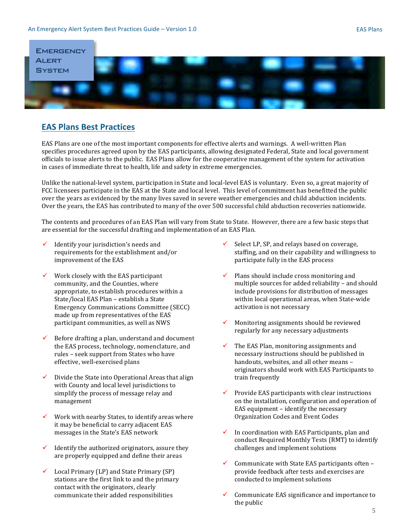

# **EAS Plans Best Practices**

EAS Plans are one of the most important components for effective alerts and warnings. A well-written Plan specifies procedures agreed upon by the EAS participants, allowing designated Federal, State and local government officials to issue alerts to the public. EAS Plans allow for the cooperative management of the system for activation in cases of immediate threat to health, life and safety in extreme emergencies.

Unlike the national-level system, participation in State and local-level EAS is voluntary. Even so, a great majority of FCC licensees participate in the EAS at the State and local level. This level of commitment has benefitted the public over the years as evidenced by the many lives saved in severe weather emergencies and child abduction incidents. Over the years, the EAS has contributed to many of the over 500 successful child abduction recoveries nationwide.

The contents and procedures of an EAS Plan will vary from State to State. However, there are a few basic steps that are essential for the successful drafting and implementation of an EAS Plan.

- Identify your jurisdiction's needs and requirements for the establishment and/or improvement of the EAS
- $\checkmark$  Work closely with the EAS participant community, and the Counties, where appropriate, to establish procedures within a State/local EAS Plan – establish a State Emergency Communications Committee (SECC) made up from representatives of the EAS participant communities, as well as NWS
- Before drafting a plan, understand and document the EAS process, technology, nomenclature, and rules – seek support from States who have effective, well-exercised plans
- Divide the State into Operational Areas that align with County and local level jurisdictions to simplify the process of message relay and management
- Work with nearby States, to identify areas where it may be beneficial to carry adjacent EAS messages in the State's EAS network
- Identify the authorized originators, assure they are properly equipped and define their areas
- Local Primary (LP) and State Primary (SP) stations are the first link to and the primary contact with the originators, clearly communicate their added responsibilities
- Select LP, SP, and relays based on coverage, staffing, and on their capability and willingness to participate fully in the EAS process
- Plans should include cross monitoring and multiple sources for added reliability – and should include provisions for distribution of messages within local operational areas, when State-wide activation is not necessary
- Monitoring assignments should be reviewed regularly for any necessary adjustments
- The EAS Plan, monitoring assignments and necessary instructions should be published in handouts, websites, and all other means originators should work with EAS Participants to train frequently
- Provide EAS participants with clear instructions on the installation, configuration and operation of EAS equipment – identify the necessary Organization Codes and Event Codes
- In coordination with EAS Participants, plan and conduct Required Monthly Tests (RMT) to identify challenges and implement solutions
- Communicate with State EAS participants often provide feedback after tests and exercises are conducted to implement solutions
- Communicate EAS significance and importance to the public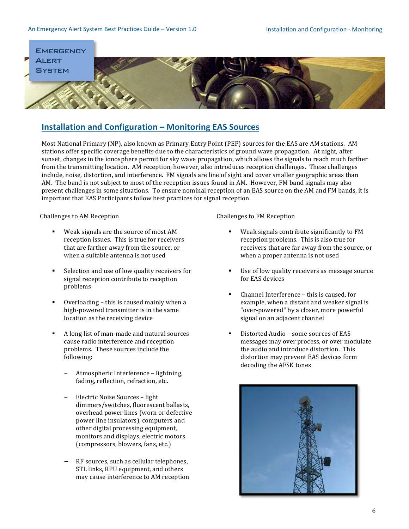### An Emergency Alert System Best Practices Guide – Version 1.0 Installation and Configuration - Monitoring



# **Installation and Configuration – Monitoring EAS Sources**

Most National Primary (NP), also known as Primary Entry Point (PEP) sources for the EAS are AM stations. AM stations offer specific coverage benefits due to the characteristics of ground wave propagation. At night, after sunset, changes in the ionosphere permit for sky wave propagation, which allows the signals to reach much farther from the transmitting location. AM reception, however, also introduces reception challenges. These challenges include, noise, distortion, and interference. FM signals are line of sight and cover smaller geographic areas than AM. The band is not subject to most of the reception issues found in AM. However, FM band signals may also present challenges in some situations. To ensure nominal reception of an EAS source on the AM and FM bands, it is important that EAS Participants follow best practices for signal reception.

Challenges to AM Reception

- Weak signals are the source of most AM reception issues. This is true for receivers that are farther away from the source, or when a suitable antenna is not used
- $\blacksquare$  Selection and use of low quality receivers for signal reception contribute to reception problems
- " Overloading this is caused mainly when a high-powered transmitter is in the same location as the receiving device
- $\blacksquare$  A long list of man-made and natural sources cause radio interference and reception problems. These sources include the following:
	- Atmospheric Interference lightning, fading, reflection, refraction, etc.
	- Electric Noise Sources light dimmers/switches, fluorescent ballasts, overhead power lines (worn or defective power line insulators), computers and other digital processing equipment, monitors and displays, electric motors (compressors, blowers, fans, etc.)
	- RF sources, such as cellular telephones, STL links, RPU equipment, and others may cause interference to AM reception

Challenges to FM Reception

- Weak signals contribute significantly to FM reception problems. This is also true for receivers that are far away from the source, or when a proper antenna is not used
- Use of low quality receivers as message source for EAS devices
- $\blacksquare$  Channel Interference this is caused, for example, when a distant and weaker signal is "over-powered" by a closer, more powerful signal on an adjacent channel
- Distorted Audio some sources of EAS messages may over process, or over modulate the audio and introduce distortion. This distortion may prevent EAS devices form decoding the AFSK tones

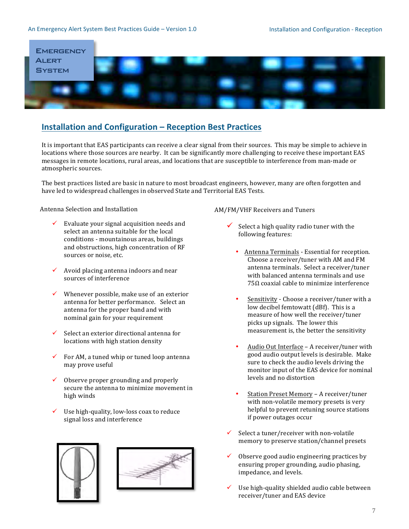### An Emergency Alert System Best Practices Guide – Version 1.0 **Installation and Configuration - Reception**



# **Installation and Configuration – Reception Best Practices**

It is important that EAS participants can receive a clear signal from their sources. This may be simple to achieve in locations where those sources are nearby. It can be significantly more challenging to receive these important EAS messages in remote locations, rural areas, and locations that are susceptible to interference from man-made or atmospheric sources.

The best practices listed are basic in nature to most broadcast engineers, however, many are often forgotten and have led to widespread challenges in observed State and Territorial EAS Tests.

# Antenna Selection and Installation

- Evaluate your signal acquisition needs and select an antenna suitable for the local conditions - mountainous areas, buildings and obstructions, high concentration of RF sources or noise, etc.
- $\checkmark$  Avoid placing antenna indoors and near sources of interference
- Whenever possible, make use of an exterior antenna for better performance. Select an antenna for the proper band and with nominal gain for your requirement
- Select an exterior directional antenna for locations with high station density
- For AM, a tuned whip or tuned loop antenna may prove useful
- $\checkmark$  Observe proper grounding and properly secure the antenna to minimize movement in high winds
- Use high-quality, low-loss coax to reduce signal loss and interference





### AM/FM/VHF Receivers and Tuners

- Select a high quality radio tuner with the following features:
	- Antenna Terminals Essential for reception. Choose a receiver/tuner with AM and FM antenna terminals. Select a receiver/tuner with balanced antenna terminals and use 75Ω coaxial cable to minimize interference
	- Sensitivity Choose a receiver/tuner with a low decibel femtowatt (dBf). This is a measure of how well the receiver/tuner picks up signals. The lower this measurement is, the better the sensitivity
	- Audio Out Interface A receiver/tuner with good audio output levels is desirable. Make sure to check the audio levels driving the monitor input of the EAS device for nominal levels and no distortion
	- Station Preset Memory A receiver/tuner with non-volatile memory presets is very helpful to prevent retuning source stations if power outages occur
- $\checkmark$  Select a tuner/receiver with non-volatile memory to preserve station/channel presets
- Observe good audio engineering practices by ensuring proper grounding, audio phasing, impedance, and levels.
- Use high-quality shielded audio cable between receiver/tuner and EAS device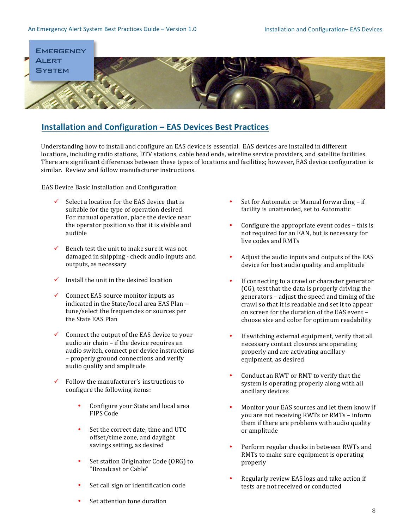#### An Emergency Alert System Best Practices Guide – Version 1.0 Installation and Configuration– EAS Devices



# **Installation and Configuration – EAS Devices Best Practices**

Understanding how to install and configure an EAS device is essential. EAS devices are installed in different locations, including radio stations, DTV stations, cable head ends, wireline service providers, and satellite facilities. There are significant differences between these types of locations and facilities; however, EAS device configuration is similar. Review and follow manufacturer instructions.

EAS Device Basic Installation and Configuration

- Select a location for the EAS device that is suitable for the type of operation desired. For manual operation, place the device near the operator position so that it is visible and audible
- $\checkmark$  Bench test the unit to make sure it was not damaged in shipping - check audio inputs and outputs, as necessary
- $\checkmark$  Install the unit in the desired location
- Connect EAS source monitor inputs as indicated in the State/local area EAS Plan – tune/select the frequencies or sources per the State EAS Plan
- Connect the output of the EAS device to your audio air chain – if the device requires an audio switch, connect per device instructions – properly ground connections and verify audio quality and amplitude
- Follow the manufacturer's instructions to configure the following items:
	- Configure your State and local area FIPS Code
	- Set the correct date, time and UTC offset/time zone, and daylight savings setting, as desired
	- Set station Originator Code (ORG) to "Broadcast or Cable"
	- Set call sign or identification code
- Set for Automatic or Manual forwarding if facility is unattended, set to Automatic
- Configure the appropriate event codes this is not required for an EAN, but is necessary for live codes and RMTs
- Adjust the audio inputs and outputs of the EAS device for best audio quality and amplitude
- If connecting to a crawl or character generator  $(CG)$ , test that the data is properly driving the generators – adjust the speed and timing of the crawl so that it is readable and set it to appear on screen for the duration of the EAS event – choose size and color for optimum readability
- If switching external equipment, verify that all necessary contact closures are operating properly and are activating ancillary equipment, as desired
- Conduct an RWT or RMT to verify that the system is operating properly along with all ancillary devices
- Monitor your EAS sources and let them know if you are not receiving RWTs or RMTs – inform them if there are problems with audio quality or amplitude
- Perform regular checks in between RWTs and RMTs to make sure equipment is operating properly
- Regularly review EAS logs and take action if tests are not received or conducted

Set attention tone duration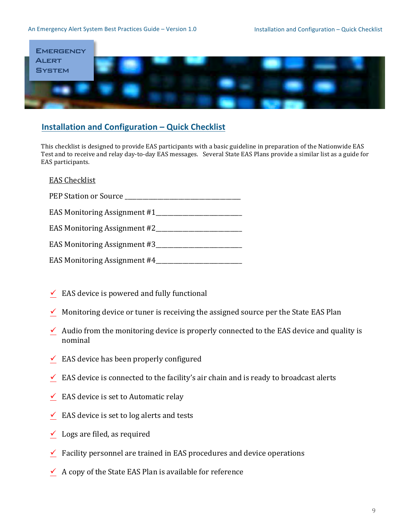### An Emergency Alert System Best Practices Guide – Version 1.0 Installation and Configuration – Quick Checklist



# **Installation and Configuration – Quick Checklist**

This checklist is designed to provide EAS participants with a basic guideline in preparation of the Nationwide EAS Test and to receive and relay day-to-day EAS messages. Several State EAS Plans provide a similar list as a guide for EAS participants.

# EAS Checklist

| PEP Station or Source        |
|------------------------------|
| EAS Monitoring Assignment #1 |
| EAS Monitoring Assignment #2 |
| EAS Monitoring Assignment #3 |
| EAS Monitoring Assignment #4 |

- $\checkmark$  EAS device is powered and fully functional
- $\checkmark$  Monitoring device or tuner is receiving the assigned source per the State EAS Plan
- $\checkmark$  Audio from the monitoring device is properly connected to the EAS device and quality is nominal
- $\checkmark$  EAS device has been properly configured
- $\leq$  EAS device is connected to the facility's air chain and is ready to broadcast alerts
- $\checkmark$  EAS device is set to Automatic relay
- $\checkmark$  EAS device is set to log alerts and tests
- $\checkmark$  Logs are filed, as required
- $\checkmark$  Facility personnel are trained in EAS procedures and device operations
- $\checkmark$  A copy of the State EAS Plan is available for reference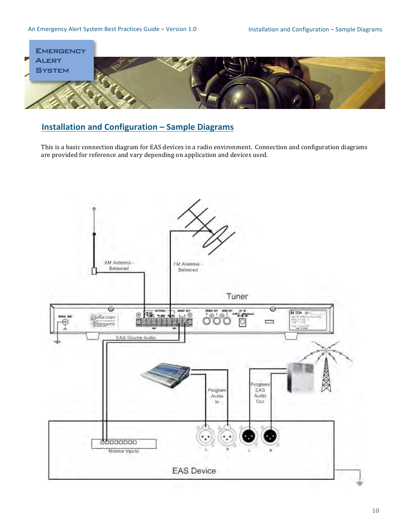

# **Installation and Configuration – Sample Diagrams**

This is a basic connection diagram for EAS devices in a radio environment. Connection and configuration diagrams are provided for reference and vary depending on application and devices used.

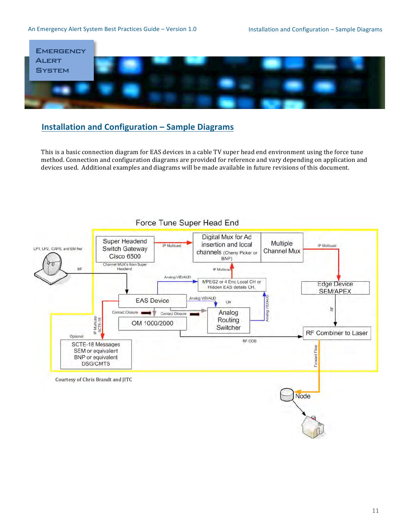### An Emergency Alert System Best Practices Guide – Version 1.0 Installation and Configuration – Sample Diagrams



# **Installation and Configuration – Sample Diagrams**

This is a basic connection diagram for EAS devices in a cable TV super head end environment using the force tune method. Connection and configuration diagrams are provided for reference and vary depending on application and devices used. Additional examples and diagrams will be made available in future revisions of this document.

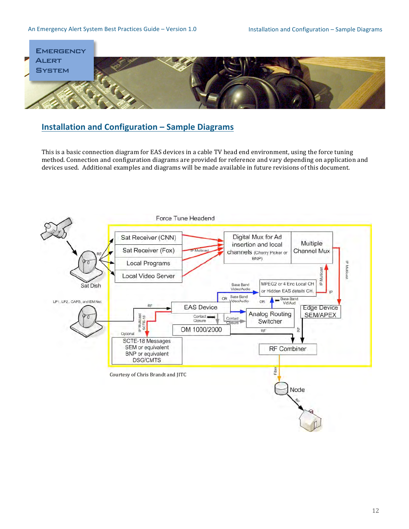### An Emergency Alert System Best Practices Guide – Version 1.0 Installation and Configuration – Sample Diagrams



# **Installation and Configuration – Sample Diagrams**

This is a basic connection diagram for EAS devices in a cable TV head end environment, using the force tuning method. Connection and configuration diagrams are provided for reference and vary depending on application and devices used. Additional examples and diagrams will be made available in future revisions of this document.

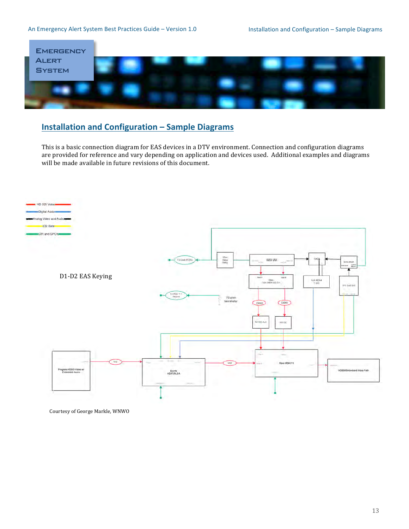# An Emergency Alert System Best Practices Guide – Version 1.0 Installation and Configuration – Sample Diagrams



# **Installation and Configuration – Sample Diagrams**

This is a basic connection diagram for EAS devices in a DTV environment. Connection and configuration diagrams are provided for reference and vary depending on application and devices used. Additional examples and diagrams will be made available in future revisions of this document.



Courtesy of George Markle, WNWO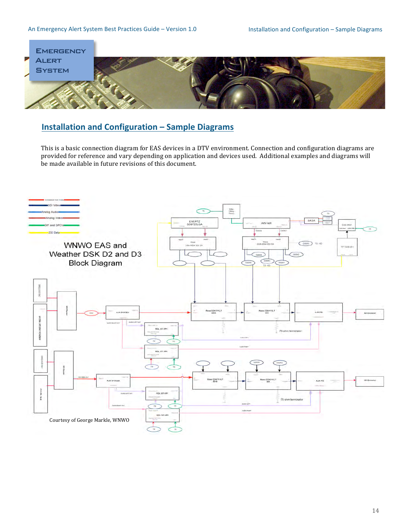

# **Installation and Configuration – Sample Diagrams**

This is a basic connection diagram for EAS devices in a DTV environment. Connection and configuration diagrams are provided for reference and vary depending on application and devices used. Additional examples and diagrams will be made available in future revisions of this document.

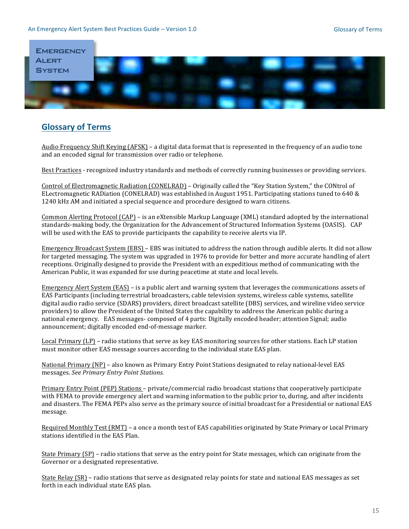#### An Emergency Alert System Best Practices Guide - Version 1.0



# **Glossary of Terms**

Audio Frequency Shift Keying (AFSK) - a digital data format that is represented in the frequency of an audio tone and an encoded signal for transmission over radio or telephone.

Best Practices - recognized industry standards and methods of correctly running businesses or providing services.

Control of Electromagnetic Radiation (CONELRAD) – Originally called the "Key Station System," the CONtrol of ELectromagnetic RADiation (CONELRAD) was established in August 1951. Participating stations tuned to 640 & 1240 kHz AM and initiated a special sequence and procedure designed to warn citizens.

Common Alerting Protocol (CAP) – is an eXtensible Markup Language (XML) standard adopted by the international standards-making body, the Organization for the Advancement of Structured Information Systems (OASIS). CAP will be used with the EAS to provide participants the capability to receive alerts via IP.

Emergency Broadcast System (EBS) – EBS was initiated to address the nation through audible alerts. It did not allow for targeted messaging. The system was upgraded in 1976 to provide for better and more accurate handling of alert receptions. Originally designed to provide the President with an expeditious method of communicating with the American Public, it was expanded for use during peacetime at state and local levels.

Emergency Alert System (EAS) – is a public alert and warning system that leverages the communications assets of EAS Participants (including terrestrial broadcasters, cable television systems, wireless cable systems, satellite digital audio radio service (SDARS) providers, direct broadcast satellite (DBS) services, and wireline video service providers) to allow the President of the United States the capability to address the American public during a national emergency. EAS messages-composed of 4 parts: Digitally encoded header; attention Signal; audio announcement; digitally encoded end-of-message marker.

Local Primary (LP) - radio stations that serve as key EAS monitoring sources for other stations. Each LP station must monitor other EAS message sources according to the individual state EAS plan.

National Primary (NP) – also known as Primary Entry Point Stations designated to relay national-level EAS messages. See Primary Entry Point Stations.

Primary Entry Point (PEP) Stations - private/commercial radio broadcast stations that cooperatively participate with FEMA to provide emergency alert and warning information to the public prior to, during, and after incidents and disasters. The FEMA PEPs also serve as the primary source of initial broadcast for a Presidential or national EAS message.

Required Monthly Test (RMT) – a once a month test of EAS capabilities originated by State Primary or Local Primary stations identified in the EAS Plan.

State Primary (SP) – radio stations that serve as the entry point for State messages, which can originate from the Governor or a designated representative.

State Relay (SR) - radio stations that serve as designated relay points for state and national EAS messages as set forth in each individual state EAS plan.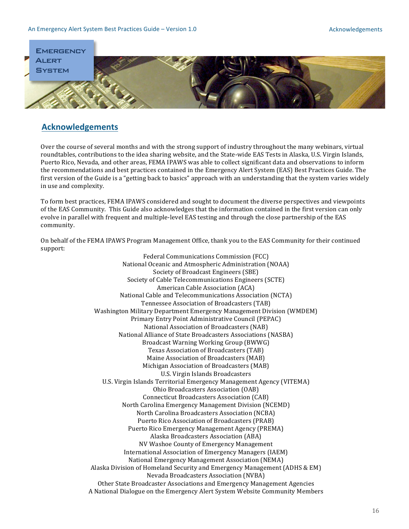

# **Acknowledgements**

Over the course of several months and with the strong support of industry throughout the many webinars, virtual roundtables, contributions to the idea sharing website, and the State-wide EAS Tests in Alaska, U.S. Virgin Islands, Puerto Rico, Nevada, and other areas, FEMA IPAWS was able to collect significant data and observations to inform the recommendations and best practices contained in the Emergency Alert System (EAS) Best Practices Guide. The first version of the Guide is a "getting back to basics" approach with an understanding that the system varies widely in use and complexity.

To form best practices, FEMA IPAWS considered and sought to document the diverse perspectives and viewpoints of the EAS Community. This Guide also acknowledges that the information contained in the first version can only evolve in parallel with frequent and multiple-level EAS testing and through the close partnership of the EAS community.

On behalf of the FEMA IPAWS Program Management Office, thank you to the EAS Community for their continued support:

> Federal Communications Commission (FCC) National Oceanic and Atmospheric Administration (NOAA) Society of Broadcast Engineers (SBE) Society of Cable Telecommunications Engineers (SCTE) American Cable Association (ACA) National Cable and Telecommunications Association (NCTA) Tennessee Association of Broadcasters (TAB) Washington Military Department Emergency Management Division (WMDEM) Primary Entry Point Administrative Council (PEPAC) National Association of Broadcasters (NAB) National Alliance of State Broadcasters Associations (NASBA) Broadcast Warning Working Group (BWWG) Texas Association of Broadcasters (TAB) Maine Association of Broadcasters (MAB) Michigan Association of Broadcasters (MAB) U.S. Virgin Islands Broadcasters U.S. Virgin Islands Territorial Emergency Management Agency (VITEMA) Ohio Broadcasters Association (OAB) Connecticut Broadcasters Association (CAB) North Carolina Emergency Management Division (NCEMD) North Carolina Broadcasters Association (NCBA) Puerto Rico Association of Broadcasters (PRAB) Puerto Rico Emergency Management Agency (PREMA) Alaska Broadcasters Association (ABA) NV Washoe County of Emergency Management International Association of Emergency Managers (IAEM) National Emergency Management Association (NEMA) Alaska Division of Homeland Security and Emergency Management (ADHS & EM) Nevada Broadcasters Association (NVBA) Other State Broadcaster Associations and Emergency Management Agencies A National Dialogue on the Emergency Alert System Website Community Members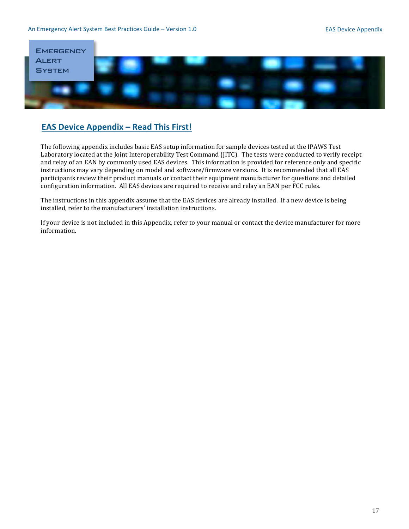

# **EAS Device Appendix - Read This First!**

The following appendix includes basic EAS setup information for sample devices tested at the IPAWS Test Laboratory located at the Joint Interoperability Test Command (JITC). The tests were conducted to verify receipt and relay of an EAN by commonly used EAS devices. This information is provided for reference only and specific instructions may vary depending on model and software/firmware versions. It is recommended that all EAS participants review their product manuals or contact their equipment manufacturer for questions and detailed configuration information. All EAS devices are required to receive and relay an EAN per FCC rules.

The instructions in this appendix assume that the EAS devices are already installed. If a new device is being installed, refer to the manufacturers' installation instructions.

If your device is not included in this Appendix, refer to your manual or contact the device manufacturer for more information.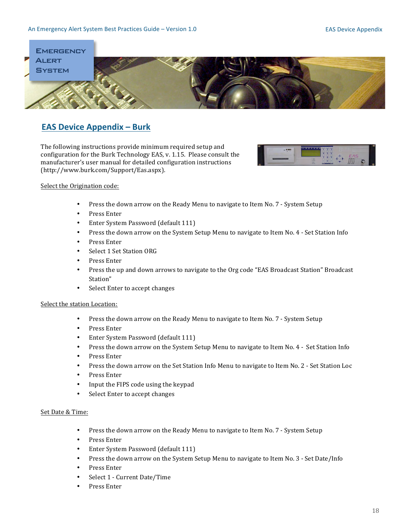

# **EAS Device Appendix – Burk**

The following instructions provide minimum required setup and configuration for the Burk Technology EAS, v. 1.15. Please consult the manufacturer's user manual for detailed configuration instructions (http://www.burk.com/Support/Eas.aspx).\$



### Select the Origination code:

- Press the down arrow on the Ready Menu to navigate to Item No. 7 System Setup
- Press Enter
- Enter System Password (default 111)
- Press the down arrow on the System Setup Menu to navigate to Item No. 4 Set Station Info
- Press Enter
- Select 1 Set Station ORG
- Press Enter
- Press the up and down arrows to navigate to the Org code "EAS Broadcast Station" Broadcast Station"
- Select Enter to accept changes

#### Select the station Location:

- Press the down arrow on the Ready Menu to navigate to Item No. 7 System Setup
- Press Enter
- Enter System Password (default 111)
- Press the down arrow on the System Setup Menu to navigate to Item No. 4 Set Station Info
- Press Enter
- Press the down arrow on the Set Station Info Menu to navigate to Item No. 2 Set Station Loc
- Press Enter
- Input the FIPS code using the keypad
- Select Enter to accept changes

# Set Date & Time:

- Press the down arrow on the Ready Menu to navigate to Item No. 7 System Setup
- Press Enter
- Enter System Password (default 111)
- Press the down arrow on the System Setup Menu to navigate to Item No. 3 Set Date/Info
- Press Enter
- Select 1 Current Date/Time
- Press Enter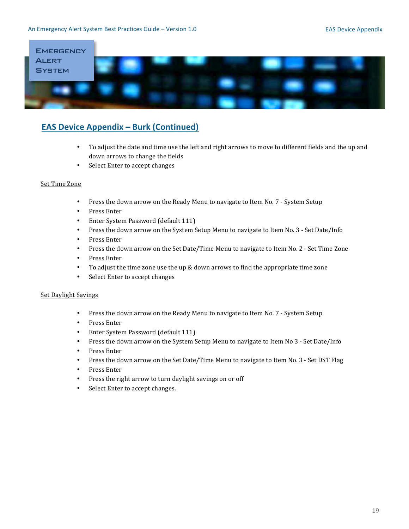

# **EAS Device Appendix – Burk (Continued)**

- To adjust the date and time use the left and right arrows to move to different fields and the up and down arrows to change the fields
- Select Enter to accept changes

# Set Time Zone

- Press the down arrow on the Ready Menu to navigate to Item No. 7 System Setup
- Press Enter
- Enter System Password (default 111)
- Press the down arrow on the System Setup Menu to navigate to Item No. 3 Set Date/Info
- Press Enter
- Press the down arrow on the Set Date/Time Menu to navigate to Item No. 2 Set Time Zone
- Press Enter
- To adjust the time zone use the up & down arrows to find the appropriate time zone
- Select Enter to accept changes

#### Set Daylight Savings

- Press the down arrow on the Ready Menu to navigate to Item No. 7 System Setup
- Press Enter
- Enter System Password (default 111)
- Press the down arrow on the System Setup Menu to navigate to Item No 3 Set Date/Info
- Press Enter
- Press the down arrow on the Set Date/Time Menu to navigate to Item No. 3 Set DST Flag
- Press Enter
- Press the right arrow to turn daylight savings on or off
- Select Enter to accept changes.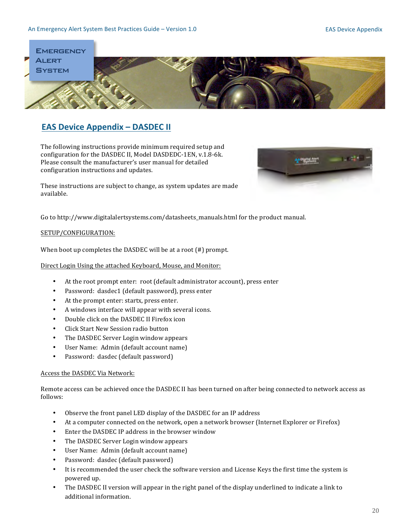### An Emergency Alert System Best Practices Guide - Version 1.0



# **EAS Device Appendix - DASDEC II**

The following instructions provide minimum required setup and configuration for the DASDEC II, Model DASDEDC-1EN, v.1.8-6k. Please consult the manufacturer's user manual for detailed configuration instructions and updates.



These instructions are subject to change, as system updates are made available.

Go to http://www.digitalalertsystems.com/datasheets\_manuals.html for the product manual.

# SETUP/CONFIGURATION:

When boot up completes the DASDEC will be at a root  $(\#)$  prompt.

Direct Login Using the attached Keyboard, Mouse, and Monitor:

- $\bullet$ At the root prompt enter: root (default administrator account), press enter
- Password: dasdec1 (default password), press enter  $\bullet$
- At the prompt enter: startx, press enter.
- A windows interface will appear with several icons.  $\bullet$
- Double click on the DASDEC II Firefox icon  $\bullet$
- Click Start New Session radio button
- The DASDEC Server Login window appears
- $\bullet$ User Name: Admin (default account name)
- Password: dasdec (default password)  $\bullet$

# Access the DASDEC Via Network:

Remote access can be achieved once the DASDEC II has been turned on after being connected to network access as follows:

- $\bullet$ Observe the front panel LED display of the DASDEC for an IP address
- At a computer connected on the network, open a network browser (Internet Explorer or Firefox)  $\bullet$
- Enter the DASDEC IP address in the browser window  $\bullet$
- The DASDEC Server Login window appears
- $\bullet$ User Name: Admin (default account name)
- Password: dasdec (default password)
- $\bullet$ It is recommended the user check the software version and License Keys the first time the system is powered up.
- $\bullet$ The DASDEC II version will appear in the right panel of the display underlined to indicate a link to additional information.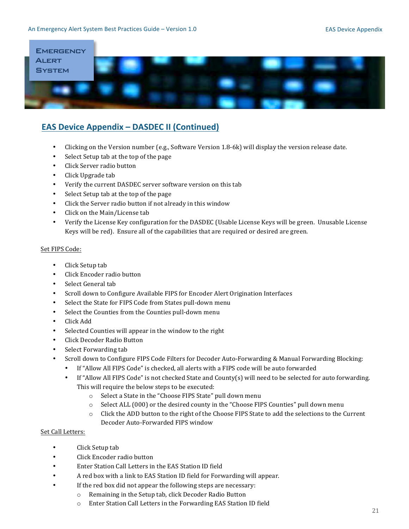

# **EAS Device Appendix - DASDEC II (Continued)**

- $\bullet$ Clicking on the Version number (e.g., Software Version 1.8-6k) will display the version release date.
- Select Setup tab at the top of the page  $\bullet$
- Click Server radio button
- $\bullet$ Click Upgrade tab
- Verify the current DASDEC server software version on this tab  $\bullet$
- $\bullet$ Select Setup tab at the top of the page
- Click the Server radio button if not already in this window  $\bullet$
- Click on the Main/License tab  $\bullet$
- $\bullet$ Verify the License Key configuration for the DASDEC (Usable License Keys will be green. Unusable License Keys will be red). Ensure all of the capabilities that are required or desired are green.

# Set FIPS Code:

- $\bullet$ Click Setup tab
- Click Encoder radio button  $\bullet$
- Select General tab  $\blacksquare$
- Scroll down to Configure Available FIPS for Encoder Alert Origination Interfaces
- Select the State for FIPS Code from States pull-down menu  $\bullet$
- Select the Counties from the Counties pull-down menu  $\bullet$
- Click Add
- Selected Counties will appear in the window to the right
- $\bullet$ Click Decoder Radio Button
- Select Forwarding tab
- Scroll down to Configure FIPS Code Filters for Decoder Auto-Forwarding & Manual Forwarding Blocking:
	- If "Allow All FIPS Code" is checked, all alerts with a FIPS code will be auto forwarded
	- $\bullet$ If "Allow All FIPS Code" is not checked State and County(s) will need to be selected for auto forwarding. This will require the below steps to be executed:
		- o Select a State in the "Choose FIPS State" pull down menu
		- Select ALL (000) or the desired county in the "Choose FIPS Counties" pull down menu
		- $\circ$  Click the ADD button to the right of the Choose FIPS State to add the selections to the Current Decoder Auto-Forwarded FIPS window

# Set Call Letters:

- Click Setup tab  $\bullet$
- Click Encoder radio button  $\bullet$
- Enter Station Call Letters in the EAS Station ID field
- A red box with a link to EAS Station ID field for Forwarding will appear.
- If the red box did not appear the following steps are necessary:
	- o Remaining in the Setup tab, click Decoder Radio Button
	- o Enter Station Call Letters in the Forwarding EAS Station ID field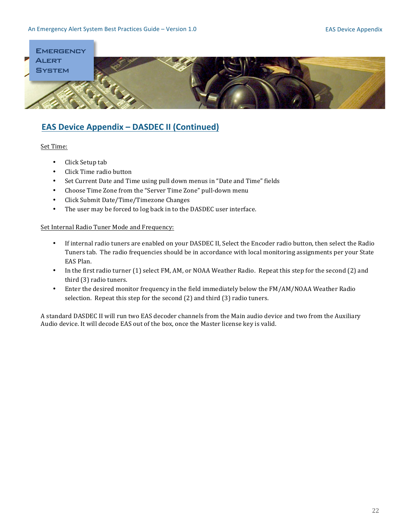

# **EAS Device Appendix - DASDEC II (Continued)**

# Set Time:

- Click Setup tab
- Click Time radio button
- Set Current Date and Time using pull down menus in "Date and Time" fields
- Choose Time Zone from the "Server Time Zone" pull-down menu
- Click Submit Date/Time/Timezone Changes
- The user may be forced to log back in to the DASDEC user interface.

### Set Internal Radio Tuner Mode and Frequency:

- If internal radio tuners are enabled on your DASDEC II, Select the Encoder radio button, then select the Radio Tuners tab. The radio frequencies should be in accordance with local monitoring assignments per your State EAS Plan.
- In the first radio turner (1) select FM, AM, or NOAA Weather Radio. Repeat this step for the second (2) and third (3) radio tuners.
- Enter the desired monitor frequency in the field immediately below the FM/AM/NOAA Weather Radio selection. Repeat this step for the second  $(2)$  and third  $(3)$  radio tuners.

A standard DASDEC II will run two EAS decoder channels from the Main audio device and two from the Auxiliary Audio device. It will decode EAS out of the box, once the Master license key is valid.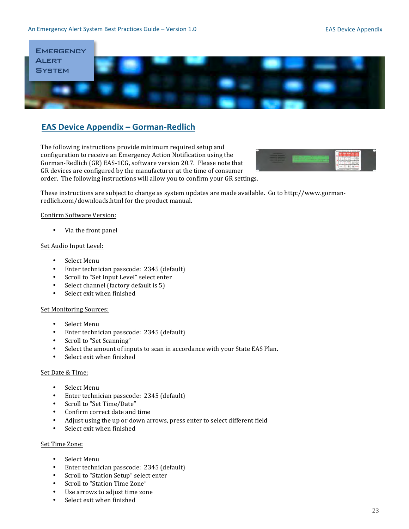

# **EAS Device Appendix – Gorman-Redlich**

The following instructions provide minimum required setup and configuration to receive an Emergency Action Notification using the Gorman-Redlich (GR) EAS-1CG, software version 20.7. Please note that GR devices are configured by the manufacturer at the time of consumer order. The following instructions will allow you to confirm your GR settings.



These instructions are subject to change as system updates are made available. Go to http://www.gormanredlich.com/downloads.html for the product manual.

#### Confirm Software Version:

• Via the front panel

#### Set Audio Input Level:

- Select Menu
- Enter technician passcode: 2345 (default)
- Scroll to "Set Input Level" select enter
- Select channel (factory default is  $5$ )
- Select exit when finished

### Set Monitoring Sources:

- Select Menu
- Enter technician passcode: 2345 (default)<br>• Scroll to "Set Scanning"
- Scroll to "Set Scanning"
- Select the amount of inputs to scan in accordance with your State EAS Plan.
- $\bullet$  Select exit when finished

### Set Date & Time:

- Select Menu
- Enter technician passcode: 2345 (default)
- Scroll to "Set Time/Date"
- Confirm correct date and time
- Adjust using the up or down arrows, press enter to select different field
- Select exit when finished

### Set Time Zone:

- Select Menu
- Enter technician passcode: 2345 (default)
- Scroll to "Station Setup" select enter
- Scroll to "Station Time Zone"
- Use arrows to adjust time zone
- Select exit when finished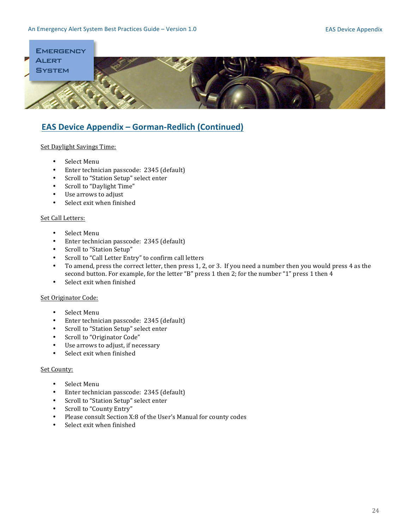

# **EAS Device Appendix - Gorman-Redlich (Continued)**

# Set Daylight Savings Time:

- Select Menu
- Enter technician passcode: 2345 (default)
- Scroll to "Station Setup" select enter
- Scroll to "Daylight Time"
- Use arrows to adjust
- Select exit when finished

# Set Call Letters:

- $\bullet$  Select Menu
- Enter technician passcode: 2345 (default)
- Scroll to "Station Setup"
- Scroll to "Call Letter Entry" to confirm call letters
- To amend, press the correct letter, then press 1, 2, or 3. If you need a number then you would press 4 as the second button. For example, for the letter "B" press 1 then 2; for the number "1" press 1 then 4
- Select exit when finished

# Set Originator Code:

- Select Menu
- Enter technician passcode: 2345 (default)
- Scroll to "Station Setup" select enter
- Scroll to "Originator Code"
- Use arrows to adjust, if necessary
- Select exit when finished

# Set County:

- Select Menu
- Enter technician passcode: 2345 (default)
- Scroll to "Station Setup" select enter
- Scroll to "County Entry"
- Please consult Section X:8 of the User's Manual for county codes
- Select exit when finished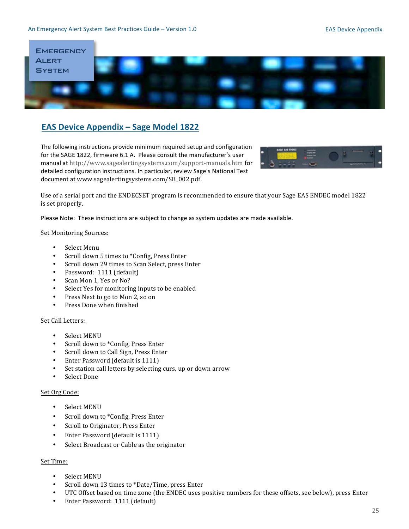### An Emergency Alert System Best Practices Guide - Version 1.0



# **EAS Device Appendix - Sage Model 1822**

The following instructions provide minimum required setup and configuration for the SAGE 1822, firmware 6.1 A. Please consult the manufacturer's user manual at http://www.sagealertingsystems.com/support-manuals.htm for detailed configuration instructions. In particular, review Sage's National Test document at www.sagealertingsystems.com/SB\_002.pdf.



Use of a serial port and the ENDECSET program is recommended to ensure that your Sage EAS ENDEC model 1822 is set properly.

Please Note: These instructions are subject to change as system updates are made available.

#### **Set Monitoring Sources:**

- Select Menu
- $\bullet$ Scroll down 5 times to \*Config, Press Enter
- $\bullet$ Scroll down 29 times to Scan Select, press Enter
- Password: 1111 (default)
- $\bullet$ Scan Mon 1, Yes or No?
- Select Yes for monitoring inputs to be enabled  $\bullet$
- $\bullet$ Press Next to go to Mon 2, so on
- $\bullet$ Press Done when finished

#### Set Call Letters:

- **Select MENU**
- $\bullet$ Scroll down to \*Config, Press Enter
- Scroll down to Call Sign, Press Enter
- Enter Password (default is 1111)
- Set station call letters by selecting curs, up or down arrow
- Select Done

# Set Org Code:

- **Select MENU**  $\bullet$
- Scroll down to \*Config, Press Enter
- Scroll to Originator, Press Enter  $\bullet$
- Enter Password (default is 1111)  $\bullet$
- Select Broadcast or Cable as the originator

#### Set Time:

- **Select MENU**
- $\bullet$  . Scroll down 13 times to \*Date/Time, press Enter
- $\bullet$ UTC Offset based on time zone (the ENDEC uses positive numbers for these offsets, see below), press Enter
- Enter Password: 1111 (default)  $\bullet$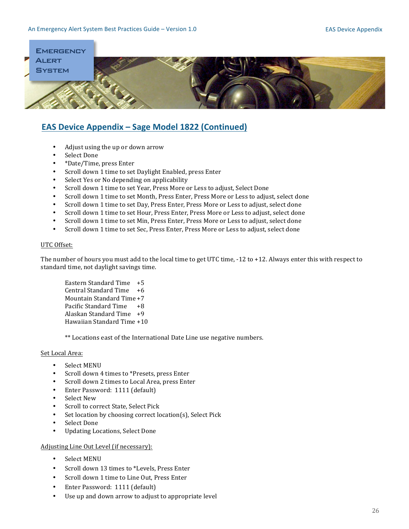

# **EAS Device Appendix – Sage Model 1822 (Continued)**

- Adjust using the up or down arrow
- Select Done
- \*Date/Time, press Enter
- Scroll down 1 time to set Daylight Enabled, press Enter
- Select Yes or No depending on applicability
- Scroll down 1 time to set Year, Press More or Less to adjust, Select Done
- Scroll down 1 time to set Month, Press Enter, Press More or Less to adjust, select done
- Scroll down 1 time to set Day, Press Enter, Press More or Less to adjust, select done
- Scroll down 1 time to set Hour, Press Enter, Press More or Less to adjust, select done
- Scroll down 1 time to set Min, Press Enter, Press More or Less to adjust, select done
- Scroll down 1 time to set Sec, Press Enter, Press More or Less to adjust, select done

#### UTC Offset:

The number of hours you must add to the local time to get UTC time,  $-12$  to  $+12$ . Always enter this with respect to standard time, not daylight savings time.

Eastern Standard Time  $+5$ Central Standard Time +6 Mountain Standard Time +7 Pacific Standard Time +8 Alaskan Standard Time  $+9$ Hawaiian Standard Time +10

\*\* Locations east of the International Date Line use negative numbers.

# Set Local Area:

- Select MENU
- Scroll down 4 times to \*Presets, press Enter
- Scroll down 2 times to Local Area, press Enter
- Enter Password: 1111 (default)
- Select New
- Scroll to correct State, Select Pick
- Set location by choosing correct location(s), Select Pick
- Select Done
- Updating Locations, Select Done

# Adjusting Line Out Level (if necessary):

- Select MENU
- Scroll down 13 times to \*Levels, Press Enter
- Scroll down 1 time to Line Out, Press Enter
- Enter Password: 1111 (default)
- Use up and down arrow to adjust to appropriate level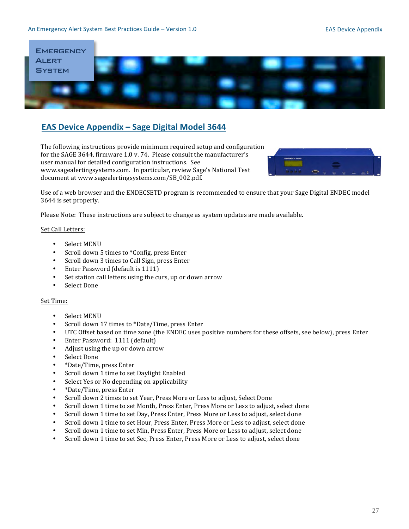

# **EAS Device Appendix - Sage Digital Model 3644**

The following instructions provide minimum required setup and configuration for the SAGE 3644, firmware 1.0 v. 74. Please consult the manufacturer's user manual for detailed configuration instructions. See www.sagealertingsystems.com. In particular, review Sage's National Test document at www.sagealertingsystems.com/SB\_002.pdf.



Use of a web browser and the ENDECSETD program is recommended to ensure that your Sage Digital ENDEC model 3644 is set properly.

Please Note: These instructions are subject to change as system updates are made available.

#### Set Call Letters:

- Select MENU
- Scroll down 5 times to \*Config, press Enter
- Scroll down 3 times to Call Sign, press Enter
- $\bullet$  Enter Password (default is 1111)
- Set station call letters using the curs, up or down arrow
- Select Done

#### Set Time:

- Select MENU
- Scroll down 17 times to \*Date/Time, press Enter
- UTC Offset based on time zone (the ENDEC uses positive numbers for these offsets, see below), press Enter
- Enter Password:  $1111$  (default)
- Adjust using the up or down arrow
- Select Done
- \*Date/Time, press Enter
- Scroll down 1 time to set Daylight Enabled
- Select Yes or No depending on applicability
- \*Date/Time, press Enter
- Scroll down 2 times to set Year, Press More or Less to adjust, Select Done
- Scroll down 1 time to set Month, Press Enter, Press More or Less to adjust, select done
- Scroll down 1 time to set Day, Press Enter, Press More or Less to adjust, select done
- Scroll down 1 time to set Hour, Press Enter, Press More or Less to adjust, select done
- Scroll down 1 time to set Min, Press Enter, Press More or Less to adjust, select done
- Scroll down 1 time to set Sec, Press Enter, Press More or Less to adjust, select done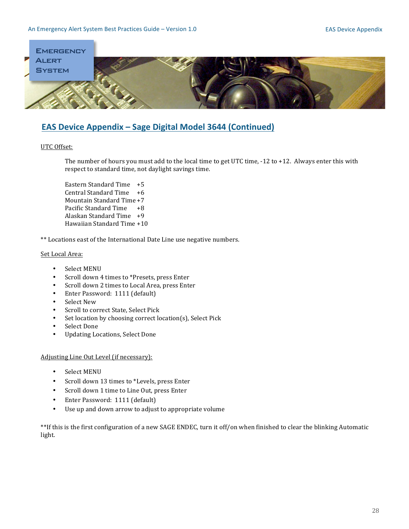

# EAS Device Appendix - Sage Digital Model 3644 (Continued)

### UTC Offset:

The number of hours you must add to the local time to get UTC time,  $-12$  to  $+12$ . Always enter this with respect to standard time, not daylight savings time.

Eastern Standard Time +5 Central Standard Time  $+6$ Mountain Standard Time +7 Pacific Standard Time +8 Alaskan Standard Time  $+9$ Hawaiian Standard Time +10

\*\* Locations east of the International Date Line use negative numbers.

### Set Local Area:

- Select MENU
- Scroll down 4 times to \*Presets, press Enter
- Scroll down 2 times to Local Area, press Enter
- Enter Password: 1111 (default)
- Select New
- Scroll to correct State, Select Pick
- Set location by choosing correct location(s), Select Pick
- Select Done
- Updating Locations, Select Done

Adjusting Line Out Level (if necessary):

- Select MENU
- Scroll down 13 times to \*Levels, press Enter
- Scroll down 1 time to Line Out, press Enter
- Enter Password: 1111 (default)
- Use up and down arrow to adjust to appropriate volume

\*\*If this is the first configuration of a new SAGE ENDEC, turn it off/on when finished to clear the blinking Automatic light.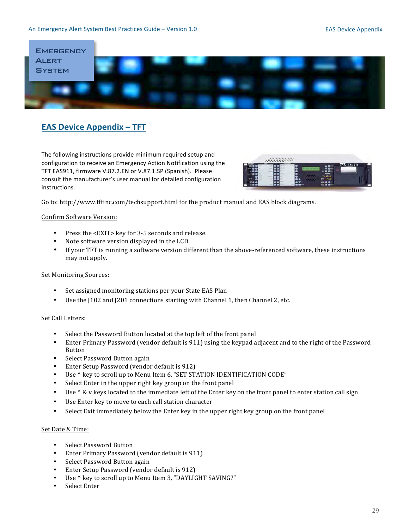#### An Emergency Alert System Best Practices Guide - Version 1.0



# **EAS Device Appendix - TFT**

The following instructions provide minimum required setup and configuration to receive an Emergency Action Notification using the TFT EAS911, firmware V.87.2.EN or V.87.1.SP (Spanish). Please consult the manufacturer's user manual for detailed configuration instructions.



Go to: http://www.tftinc.com/techsupport.html for the product manual and EAS block diagrams.

### **Confirm Software Version:**

- Press the <EXIT> key for 3-5 seconds and release.
- Note software version displayed in the LCD.
- $\bullet$ If your TFT is running a software version different than the above-referenced software, these instructions may not apply.

# **Set Monitoring Sources:**

- Set assigned monitoring stations per your State EAS Plan
- $\bullet$ Use the J102 and J201 connections starting with Channel 1, then Channel 2, etc.

# Set Call Letters:

- Select the Password Button located at the top left of the front panel
- Enter Primary Password (vendor default is 911) using the keypad adjacent and to the right of the Password **Button**
- Select Password Button again
- Enter Setup Password (vendor default is 912)
- Use ^ key to scroll up to Menu Item 6, "SET STATION IDENTIFICATION CODE"  $\bullet$
- Select Enter in the upper right key group on the front panel
- Use  $\wedge$  & v keys located to the immediate left of the Enter key on the front panel to enter station call sign  $\bullet$
- $\bullet$ Use Enter key to move to each call station character
- Select Exit immediately below the Enter key in the upper right key group on the front panel  $\bullet$

### Set Date & Time:

- **Select Password Button**
- Enter Primary Password (vendor default is 911)
- Select Password Button again
- Enter Setup Password (vendor default is 912)
- Use ^ key to scroll up to Menu Item 3, "DAYLIGHT SAVING?"
- Select Enter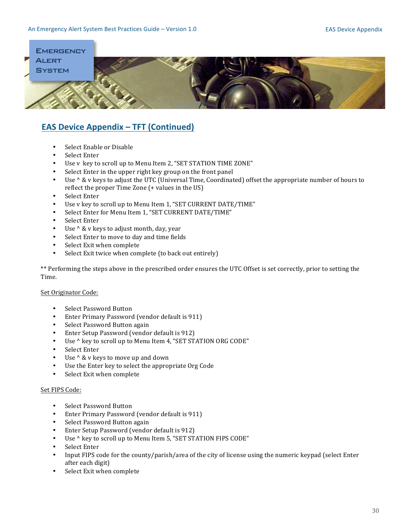

# **EAS Device Appendix – TFT (Continued)**

- Select Enable or Disable
- Select Enter
- Use v key to scroll up to Menu Item 2, "SET STATION TIME ZONE"
- Select Enter in the upper right key group on the front panel
- Use ^ & v keys to adjust the UTC (Universal Time, Coordinated) offset the appropriate number of hours to reflect the proper Time Zone  $(+)$  values in the US)
- Select Enter
- Use v key to scroll up to Menu Item 1, "SET CURRENT DATE/TIME"
- Select Enter for Menu Item 1, "SET CURRENT DATE/TIME"
- Select Enter
- Use  $\wedge$  & v keys to adjust month, day, year
- Select Enter to move to day and time fields
- Select Exit when complete
- Select Exit twice when complete (to back out entirely)

\*\* Performing the steps above in the prescribed order ensures the UTC Offset is set correctly, prior to setting the Time.

#### Set Originator Code:

- Select Password Button
- Enter Primary Password (vendor default is 911)
- Select Password Button again
- Enter Setup Password (vendor default is 912)
- Use ^ key to scroll up to Menu Item 4, "SET STATION ORG CODE"
- Select Enter
- Use  $\wedge$  & v keys to move up and down
- Use the Enter key to select the appropriate Org Code
- Select Exit when complete

#### Set FIPS Code:

- Select Password Button
- Enter Primary Password (vendor default is  $911$ )
- Select Password Button again
- Enter Setup Password (vendor default is 912)
- Use  $\wedge$  key to scroll up to Menu Item 5, "SET STATION FIPS CODE"
- Select Enter
- Input FIPS code for the county/parish/area of the city of license using the numeric keypad (select Enter after each digit)
- Select Exit when complete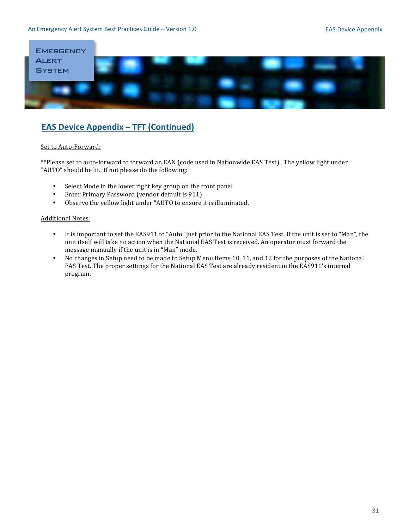

# **EAS Device Appendix – TFT (Continued)**

### Set to Auto-Forward:

\*\*Please set to auto-forward to forward an EAN (code used in Nationwide EAS Test). The yellow light under "AUTO" should be lit. If not please do the following:

- Select Mode in the lower right key group on the front panel
- Enter Primary Password (vendor default is 911)
- Observe the yellow light under "AUTO to ensure it is illuminated.

#### **Additional Notes:**

- It is important to set the EAS911 to "Auto" just prior to the National EAS Test. If the unit is set to "Man", the unit itself will take no action when the National EAS Test is received. An operator must forward the message manually if the unit is in "Man" mode.
- No changes in Setup need to be made to Setup Menu Items 10, 11, and 12 for the purposes of the National EAS Test. The proper settings for the National EAS Test are already resident in the EAS911's internal program.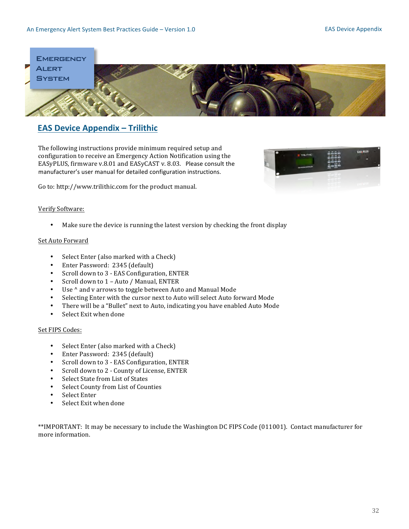

# **EAS Device Appendix - Trilithic**

The following instructions provide minimum required setup and configuration to receive an Emergency Action Notification using the EASyPLUS, firmware v.8.01 and EASyCAST v. 8.03. Please consult the manufacturer's user manual for detailed configuration instructions.

Go to: http://www.trilithic.com for the product manual.

# Verify Software:

• Make sure the device is running the latest version by checking the front display

### Set Auto Forward

- Select Enter (also marked with a Check)
- Enter Password: 2345 (default)
- Scroll down to 3 EAS Configuration, ENTER
- Scroll down to  $1 -$  Auto / Manual, ENTER
- Use ^ and v arrows to toggle between Auto and Manual Mode
- Selecting Enter with the cursor next to Auto will select Auto forward Mode
- There will be a "Bullet" next to Auto, indicating you have enabled Auto Mode
- Select Exit when done

#### Set FIPS Codes:

- Select Enter (also marked with a Check)
- Enter Password: 2345 (default)
- Scroll down to 3 EAS Configuration, ENTER
- Scroll down to 2 County of License, ENTER
- Select State from List of States
- Select County from List of Counties
- Select Enter
- Select Exit when done

\*\*IMPORTANT: It may be necessary to include the Washington DC FIPS Code (011001). Contact manufacturer for more information.